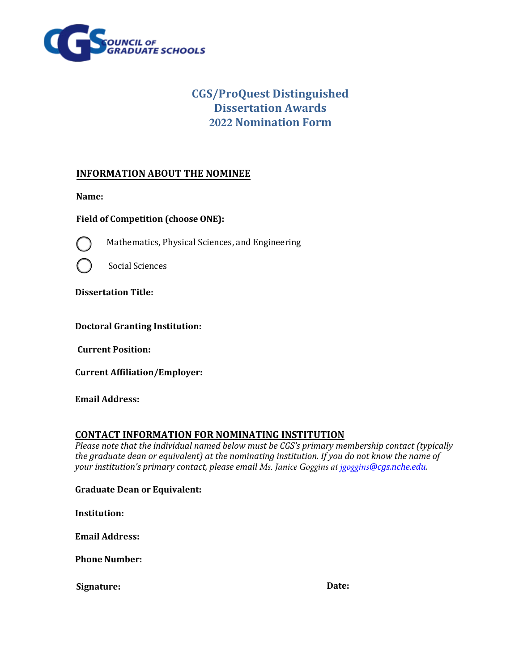

# **CGS/ProQuest Distinguished Dissertation Awards 2022 Nomination Form**

### **INFORMATION ABOUT THE NOMINEE**

**Name:** 

**Field of Competition (choose ONE):** 



Mathematics, Physical Sciences, and Engineering



Social Sciences

**Dissertation Title:** 

#### **Doctoral Granting Institution:**

**Current Position:** 

**Current Affiliation/Employer:** 

**Email Address:** 

#### **CONTACT INFORMATION FOR NOMINATING INSTITUTION**

*Please note that the individual named below must be CGS's primary membership contact (typically the graduate dean or equivalent) at the nominating institution. If you do not know the name of your institution's primary contact, please email [Ms. Janice Goggins at](mailto:memberservices@cgs.nche.edu) jgoggins@cgs.nche.edu.*

**Graduate Dean or Equivalent:** 

**Institution:** 

**Email Address:** 

**Phone Number:** 

**Signature:** Date: